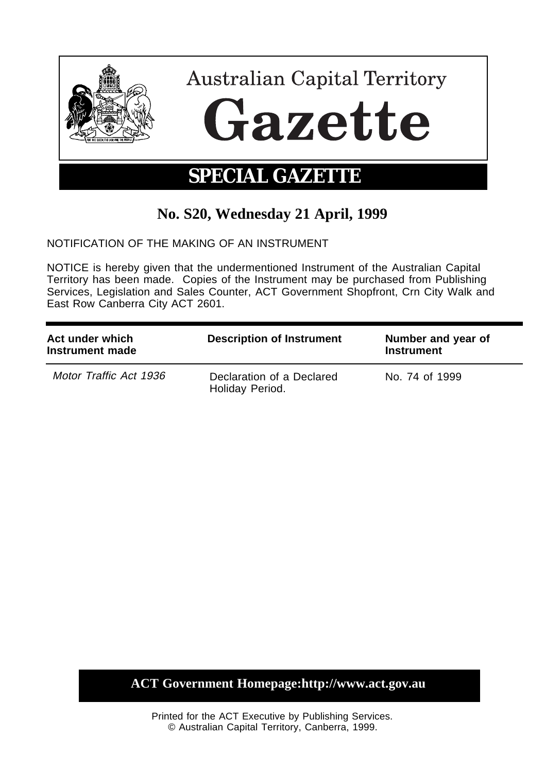

# **No. S20, Wednesday 21 April, 1999**

NOTIFICATION OF THE MAKING OF AN INSTRUMENT

NOTICE is hereby given that the undermentioned Instrument of the Australian Capital Territory has been made. Copies of the Instrument may be purchased from Publishing Services, Legislation and Sales Counter, ACT Government Shopfront, Crn City Walk and East Row Canberra City ACT 2601.

| Act under which<br>Instrument made | <b>Description of Instrument</b>             | Number and year of<br><b>Instrument</b> |
|------------------------------------|----------------------------------------------|-----------------------------------------|
| Motor Traffic Act 1936             | Declaration of a Declared<br>Holiday Period. | No. 74 of 1999                          |

# **ACT Government Homepage:http://www.act.gov.au**

Printed for the ACT Executive by Publishing Services. © Australian Capital Territory, Canberra, 1999.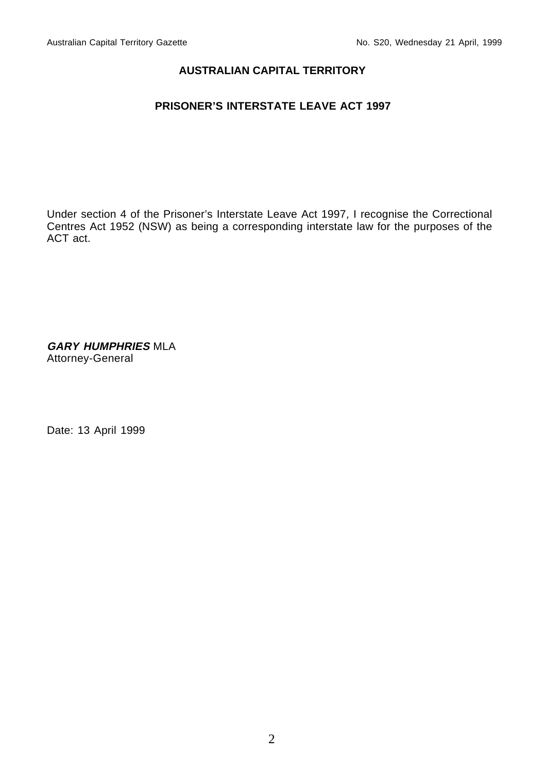#### **AUSTRALIAN CAPITAL TERRITORY**

# **PRISONER'S INTERSTATE LEAVE ACT 1997**

Under section 4 of the Prisoner's Interstate Leave Act 1997, I recognise the Correctional Centres Act 1952 (NSW) as being a corresponding interstate law for the purposes of the ACT act.

**GARY HUMPHRIES** MLA Attorney-General

Date: 13 April 1999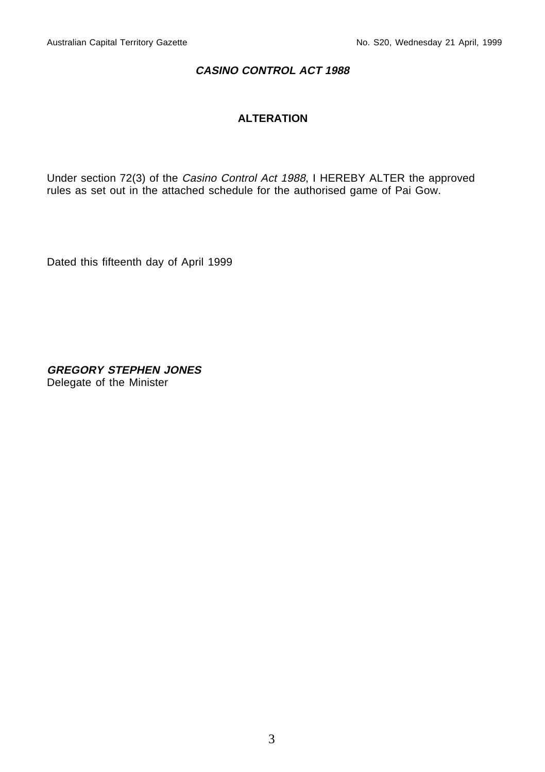### **CASINO CONTROL ACT 1988**

# **ALTERATION**

Under section 72(3) of the Casino Control Act 1988, I HEREBY ALTER the approved rules as set out in the attached schedule for the authorised game of Pai Gow.

Dated this fifteenth day of April 1999

**GREGORY STEPHEN JONES** Delegate of the Minister

3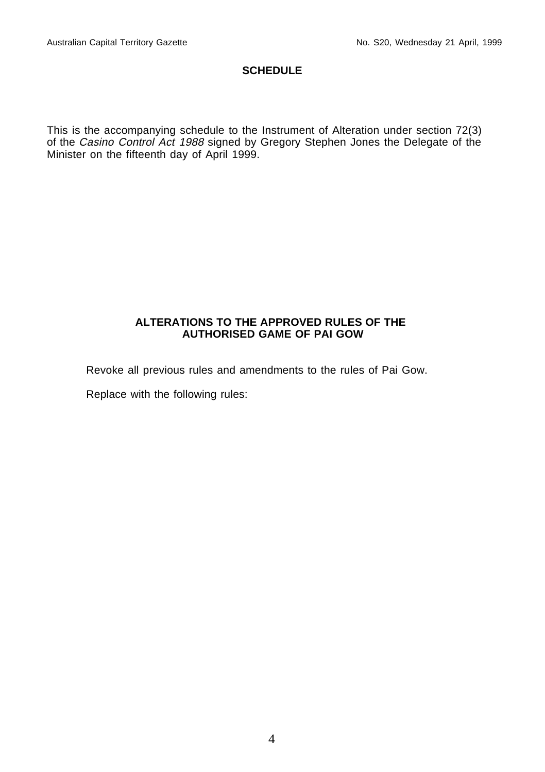# **SCHEDULE**

This is the accompanying schedule to the Instrument of Alteration under section 72(3) of the Casino Control Act 1988 signed by Gregory Stephen Jones the Delegate of the Minister on the fifteenth day of April 1999.

#### **ALTERATIONS TO THE APPROVED RULES OF THE AUTHORISED GAME OF PAI GOW**

Revoke all previous rules and amendments to the rules of Pai Gow.

Replace with the following rules: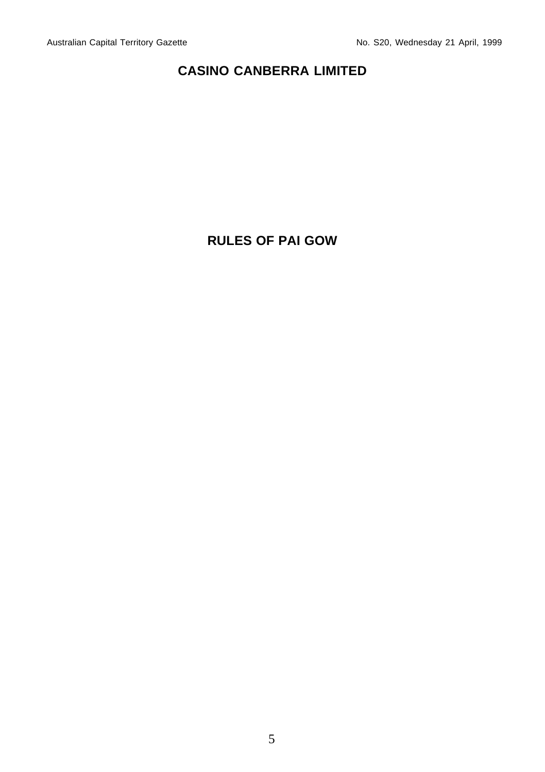# **CASINO CANBERRA LIMITED**

# **RULES OF PAI GOW**

5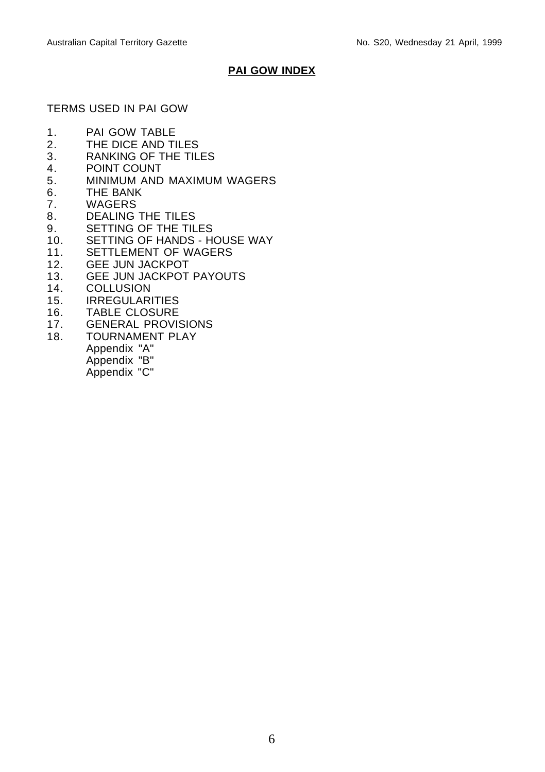# **PAI GOW INDEX**

# TERMS USED IN PAI GOW

- 1. PAI GOW TABLE
- 2. THE DICE AND TILES
- 3. RANKING OF THE TILES
- 4. POINT COUNT<br>5 MINIMUM AND
- 5. MINIMUM AND MAXIMUM WAGERS
- 6. THE BANK<br>7. WAGERS
- **WAGERS**
- 8. DEALING THE TILES
- 9. SETTING OF THE TILES
- 10. SETTING OF HANDS HOUSE WAY
- 11. SETTLEMENT OF WAGERS
- 12. GEE JUN JACKPOT
- 13. GEE JUN JACKPOT PAYOUTS<br>14. COLLUSION
- **COLLUSION**
- 15. IRREGULARITIES
- 16. TABLE CLOSURE<br>17. GENERAL PROVI
- **GENERAL PROVISIONS**
- 18. TOURNAMENT PLAY
	- Appendix "A"
	- Appendix "B"
	- Appendix "C"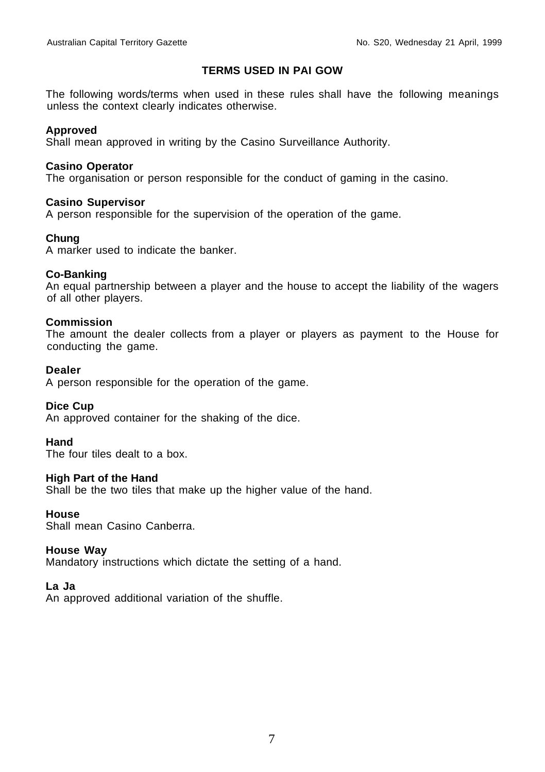#### **TERMS USED IN PAI GOW**

The following words/terms when used in these rules shall have the following meanings unless the context clearly indicates otherwise.

#### **Approved**

Shall mean approved in writing by the Casino Surveillance Authority.

#### **Casino Operator**

The organisation or person responsible for the conduct of gaming in the casino.

#### **Casino Supervisor**

A person responsible for the supervision of the operation of the game.

#### **Chung**

A marker used to indicate the banker.

#### **Co-Banking**

An equal partnership between a player and the house to accept the liability of the wagers of all other players.

#### **Commission**

The amount the dealer collects from a player or players as payment to the House for conducting the game.

#### **Dealer**

A person responsible for the operation of the game.

#### **Dice Cup**

An approved container for the shaking of the dice.

#### **Hand**

The four tiles dealt to a box.

#### **High Part of the Hand**

Shall be the two tiles that make up the higher value of the hand.

#### **House**

Shall mean Casino Canberra.

#### **House Way**

Mandatory instructions which dictate the setting of a hand.

#### **La Ja**

An approved additional variation of the shuffle.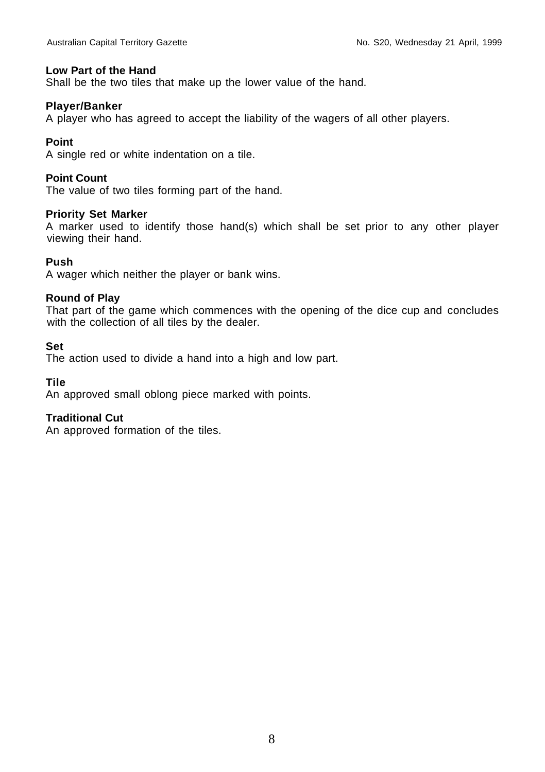#### **Low Part of the Hand**

Shall be the two tiles that make up the lower value of the hand.

#### **Player/Banker**

A player who has agreed to accept the liability of the wagers of all other players.

#### **Point**

A single red or white indentation on a tile.

#### **Point Count**

The value of two tiles forming part of the hand.

#### **Priority Set Marker**

A marker used to identify those hand(s) which shall be set prior to any other player viewing their hand.

#### **Push**

A wager which neither the player or bank wins.

#### **Round of Play**

That part of the game which commences with the opening of the dice cup and concludes with the collection of all tiles by the dealer.

#### **Set**

The action used to divide a hand into a high and low part.

#### **Tile**

An approved small oblong piece marked with points.

#### **Traditional Cut**

An approved formation of the tiles.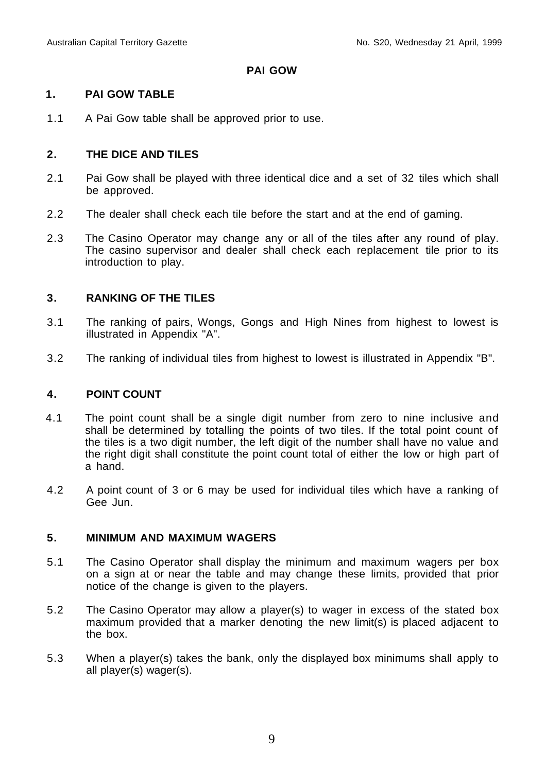#### **PAI GOW**

#### **1. PAI GOW TABLE**

1.1 A Pai Gow table shall be approved prior to use.

#### **2. THE DICE AND TILES**

- 2.1 Pai Gow shall be played with three identical dice and a set of 32 tiles which shall be approved.
- 2.2 The dealer shall check each tile before the start and at the end of gaming.
- 2.3 The Casino Operator may change any or all of the tiles after any round of play. The casino supervisor and dealer shall check each replacement tile prior to its introduction to play.

#### **3. RANKING OF THE TILES**

- 3.1 The ranking of pairs, Wongs, Gongs and High Nines from highest to lowest is illustrated in Appendix "A".
- 3.2 The ranking of individual tiles from highest to lowest is illustrated in Appendix "B".

# **4. POINT COUNT**

- 4.1 The point count shall be a single digit number from zero to nine inclusive and shall be determined by totalling the points of two tiles. If the total point count of the tiles is a two digit number, the left digit of the number shall have no value and the right digit shall constitute the point count total of either the low or high part of a hand.
- 4.2 A point count of 3 or 6 may be used for individual tiles which have a ranking of Gee Jun.

#### **5. MINIMUM AND MAXIMUM WAGERS**

- 5.1 The Casino Operator shall display the minimum and maximum wagers per box on a sign at or near the table and may change these limits, provided that prior notice of the change is given to the players.
- 5.2 The Casino Operator may allow a player(s) to wager in excess of the stated box maximum provided that a marker denoting the new limit(s) is placed adjacent to the box.
- 5.3 When a player(s) takes the bank, only the displayed box minimums shall apply to all player(s) wager(s).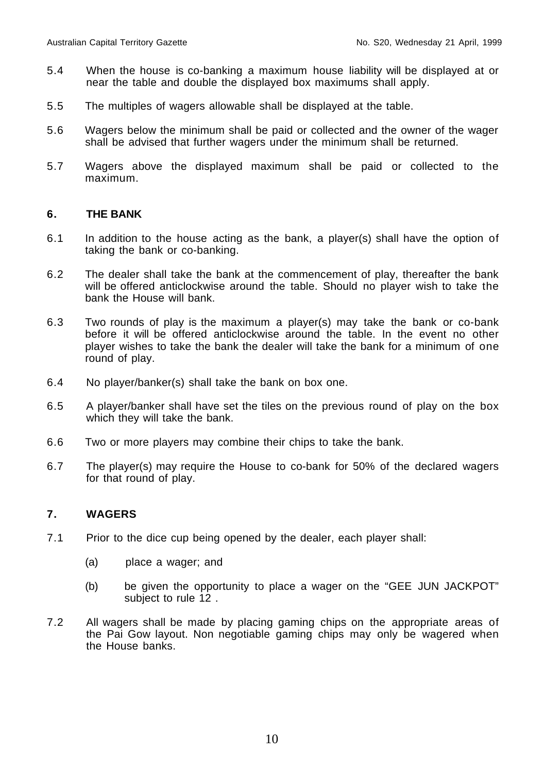- 5.4 When the house is co-banking a maximum house liability will be displayed at or near the table and double the displayed box maximums shall apply.
- 5.5 The multiples of wagers allowable shall be displayed at the table.
- 5.6 Wagers below the minimum shall be paid or collected and the owner of the wager shall be advised that further wagers under the minimum shall be returned.
- 5.7 Wagers above the displayed maximum shall be paid or collected to the maximum.

#### **6. THE BANK**

- 6.1 In addition to the house acting as the bank, a player(s) shall have the option of taking the bank or co-banking.
- 6.2 The dealer shall take the bank at the commencement of play, thereafter the bank will be offered anticlockwise around the table. Should no player wish to take the bank the House will bank.
- 6.3 Two rounds of play is the maximum a player(s) may take the bank or co-bank before it will be offered anticlockwise around the table. In the event no other player wishes to take the bank the dealer will take the bank for a minimum of one round of play.
- 6.4 No player/banker(s) shall take the bank on box one.
- 6.5 A player/banker shall have set the tiles on the previous round of play on the box which they will take the bank.
- 6.6 Two or more players may combine their chips to take the bank.
- 6.7 The player(s) may require the House to co-bank for 50% of the declared wagers for that round of play.

# **7. WAGERS**

- 7.1 Prior to the dice cup being opened by the dealer, each player shall:
	- (a) place a wager; and
	- (b) be given the opportunity to place a wager on the "GEE JUN JACKPOT" subject to rule 12 .
- 7.2 All wagers shall be made by placing gaming chips on the appropriate areas of the Pai Gow layout. Non negotiable gaming chips may only be wagered when the House banks.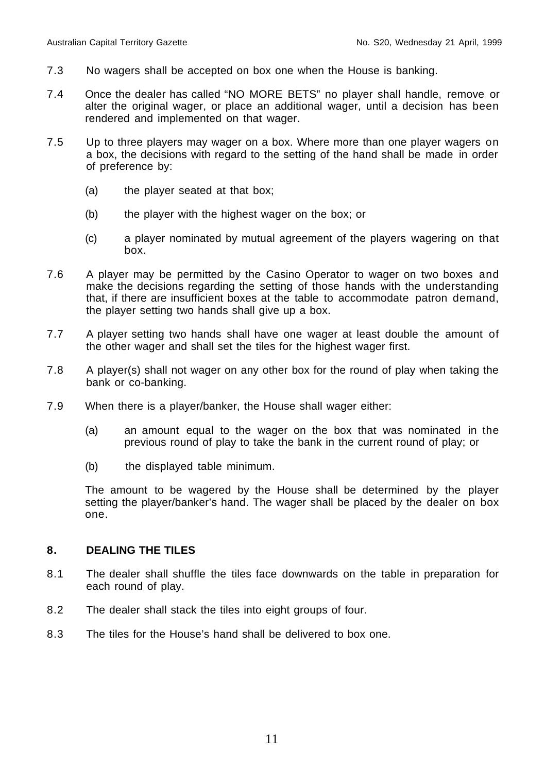- 7.3 No wagers shall be accepted on box one when the House is banking.
- 7.4 Once the dealer has called "NO MORE BETS" no player shall handle, remove or alter the original wager, or place an additional wager, until a decision has been rendered and implemented on that wager.
- 7.5 Up to three players may wager on a box. Where more than one player wagers on a box, the decisions with regard to the setting of the hand shall be made in order of preference by:
	- (a) the player seated at that box;
	- (b) the player with the highest wager on the box; or
	- (c) a player nominated by mutual agreement of the players wagering on that box.
- 7.6 A player may be permitted by the Casino Operator to wager on two boxes and make the decisions regarding the setting of those hands with the understanding that, if there are insufficient boxes at the table to accommodate patron demand, the player setting two hands shall give up a box.
- 7.7 A player setting two hands shall have one wager at least double the amount of the other wager and shall set the tiles for the highest wager first.
- 7.8 A player(s) shall not wager on any other box for the round of play when taking the bank or co-banking.
- 7.9 When there is a player/banker, the House shall wager either:
	- (a) an amount equal to the wager on the box that was nominated in the previous round of play to take the bank in the current round of play; or
	- (b) the displayed table minimum.

The amount to be wagered by the House shall be determined by the player setting the player/banker's hand. The wager shall be placed by the dealer on box one.

#### **8. DEALING THE TILES**

- 8.1 The dealer shall shuffle the tiles face downwards on the table in preparation for each round of play.
- 8.2 The dealer shall stack the tiles into eight groups of four.
- 8.3 The tiles for the House's hand shall be delivered to box one.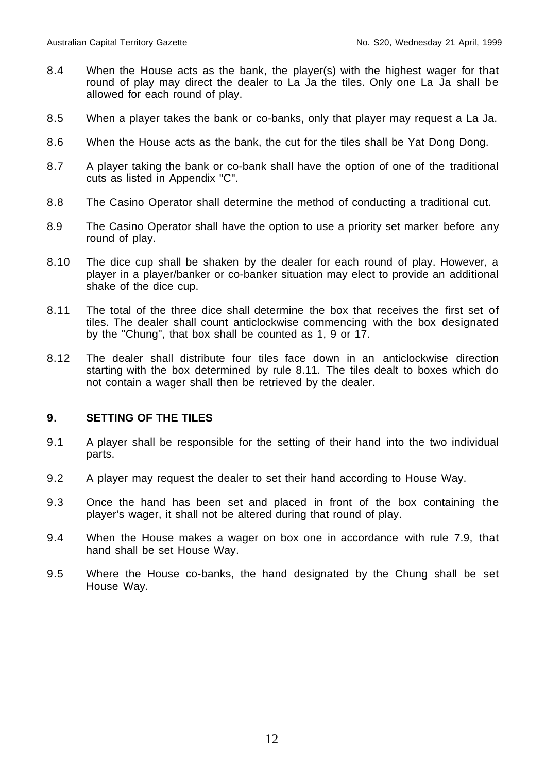- 8.4 When the House acts as the bank, the player(s) with the highest wager for that round of play may direct the dealer to La Ja the tiles. Only one La Ja shall be allowed for each round of play.
- 8.5 When a player takes the bank or co-banks, only that player may request a La Ja.
- 8.6 When the House acts as the bank, the cut for the tiles shall be Yat Dong Dong.
- 8.7 A player taking the bank or co-bank shall have the option of one of the traditional cuts as listed in Appendix "C".
- 8.8 The Casino Operator shall determine the method of conducting a traditional cut.
- 8.9 The Casino Operator shall have the option to use a priority set marker before any round of play.
- 8.10 The dice cup shall be shaken by the dealer for each round of play. However, a player in a player/banker or co-banker situation may elect to provide an additional shake of the dice cup.
- 8.11 The total of the three dice shall determine the box that receives the first set of tiles. The dealer shall count anticlockwise commencing with the box designated by the "Chung", that box shall be counted as 1, 9 or 17.
- 8.12 The dealer shall distribute four tiles face down in an anticlockwise direction starting with the box determined by rule 8.11. The tiles dealt to boxes which do not contain a wager shall then be retrieved by the dealer.

# **9. SETTING OF THE TILES**

- 9.1 A player shall be responsible for the setting of their hand into the two individual parts.
- 9.2 A player may request the dealer to set their hand according to House Way.
- 9.3 Once the hand has been set and placed in front of the box containing the player's wager, it shall not be altered during that round of play.
- 9.4 When the House makes a wager on box one in accordance with rule 7.9, that hand shall be set House Way.
- 9.5 Where the House co-banks, the hand designated by the Chung shall be set House Way.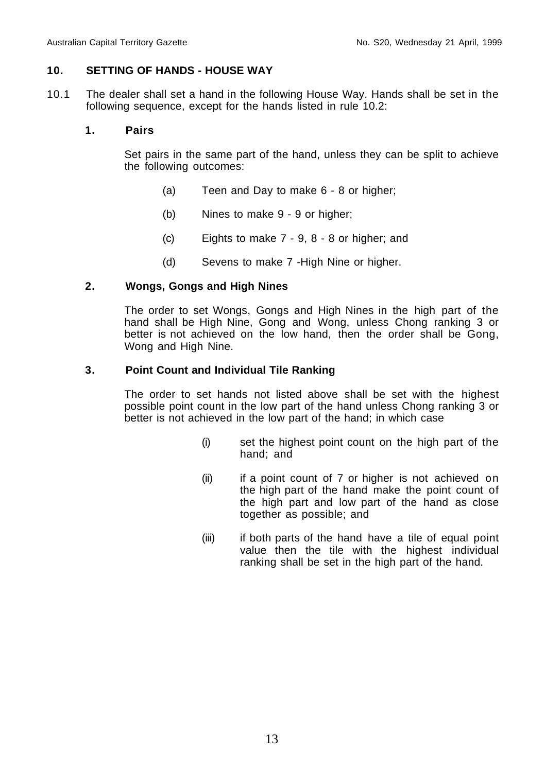#### **10. SETTING OF HANDS - HOUSE WAY**

10.1 The dealer shall set a hand in the following House Way. Hands shall be set in the following sequence, except for the hands listed in rule 10.2:

# **1. Pairs**

Set pairs in the same part of the hand, unless they can be split to achieve the following outcomes:

- (a) Teen and Day to make 6 8 or higher;
- (b) Nines to make 9 9 or higher;
- (c) Eights to make 7 9, 8 8 or higher; and
- (d) Sevens to make 7 -High Nine or higher.

#### **2. Wongs, Gongs and High Nines**

The order to set Wongs, Gongs and High Nines in the high part of the hand shall be High Nine, Gong and Wong, unless Chong ranking 3 or better is not achieved on the low hand, then the order shall be Gong, Wong and High Nine.

#### **3. Point Count and Individual Tile Ranking**

The order to set hands not listed above shall be set with the highest possible point count in the low part of the hand unless Chong ranking 3 or better is not achieved in the low part of the hand; in which case

- (i) set the highest point count on the high part of the hand; and
- (ii) if a point count of 7 or higher is not achieved on the high part of the hand make the point count of the high part and low part of the hand as close together as possible; and
- (iii) if both parts of the hand have a tile of equal point value then the tile with the highest individual ranking shall be set in the high part of the hand.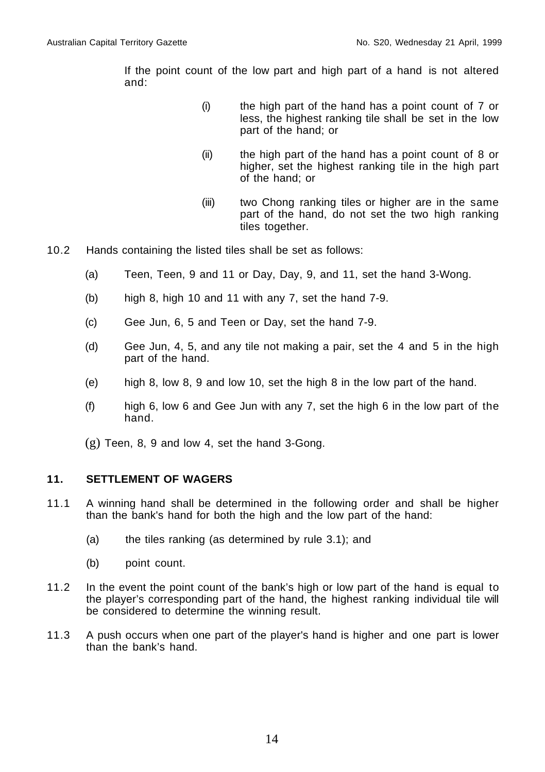If the point count of the low part and high part of a hand is not altered and:

- (i) the high part of the hand has a point count of 7 or less, the highest ranking tile shall be set in the low part of the hand; or
- (ii) the high part of the hand has a point count of 8 or higher, set the highest ranking tile in the high part of the hand; or
- (iii) two Chong ranking tiles or higher are in the same part of the hand, do not set the two high ranking tiles together.
- 10.2 Hands containing the listed tiles shall be set as follows:
	- (a) Teen, Teen, 9 and 11 or Day, Day, 9, and 11, set the hand 3-Wong.
	- (b) high 8, high 10 and 11 with any 7, set the hand 7-9.
	- (c) Gee Jun, 6, 5 and Teen or Day, set the hand 7-9.
	- (d) Gee Jun, 4, 5, and any tile not making a pair, set the 4 and 5 in the high part of the hand.
	- (e) high 8, low 8, 9 and low 10, set the high 8 in the low part of the hand.
	- (f) high 6, low 6 and Gee Jun with any 7, set the high 6 in the low part of the hand.
	- (g) Teen, 8, 9 and low 4, set the hand 3-Gong.

#### **11. SETTLEMENT OF WAGERS**

- 11.1 A winning hand shall be determined in the following order and shall be higher than the bank's hand for both the high and the low part of the hand:
	- (a) the tiles ranking (as determined by rule 3.1); and
	- (b) point count.
- 11.2 In the event the point count of the bank's high or low part of the hand is equal to the player's corresponding part of the hand, the highest ranking individual tile will be considered to determine the winning result.
- 11.3 A push occurs when one part of the player's hand is higher and one part is lower than the bank's hand.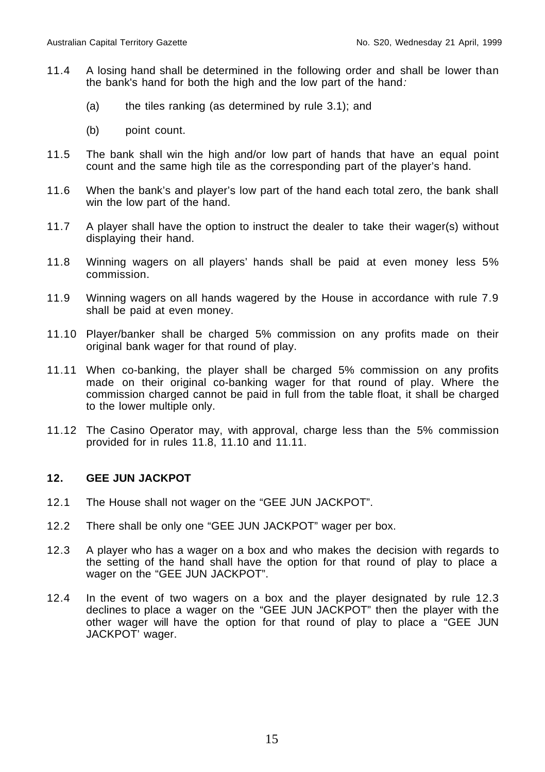- 11.4 A losing hand shall be determined in the following order and shall be lower than the bank's hand for both the high and the low part of the hand:
	- (a) the tiles ranking (as determined by rule 3.1); and
	- (b) point count.
- 11.5 The bank shall win the high and/or low part of hands that have an equal point count and the same high tile as the corresponding part of the player's hand.
- 11.6 When the bank's and player's low part of the hand each total zero, the bank shall win the low part of the hand.
- 11.7 A player shall have the option to instruct the dealer to take their wager(s) without displaying their hand.
- 11.8 Winning wagers on all players' hands shall be paid at even money less 5% commission.
- 11.9 Winning wagers on all hands wagered by the House in accordance with rule 7.9 shall be paid at even money.
- 11.10 Player/banker shall be charged 5% commission on any profits made on their original bank wager for that round of play.
- 11.11 When co-banking, the player shall be charged 5% commission on any profits made on their original co-banking wager for that round of play. Where the commission charged cannot be paid in full from the table float, it shall be charged to the lower multiple only.
- 11.12 The Casino Operator may, with approval, charge less than the 5% commission provided for in rules 11.8, 11.10 and 11.11.

# **12. GEE JUN JACKPOT**

- 12.1 The House shall not wager on the "GEE JUN JACKPOT".
- 12.2 There shall be only one "GEE JUN JACKPOT" wager per box.
- 12.3 A player who has a wager on a box and who makes the decision with regards to the setting of the hand shall have the option for that round of play to place a wager on the "GEE JUN JACKPOT".
- 12.4 In the event of two wagers on a box and the player designated by rule 12.3 declines to place a wager on the "GEE JUN JACKPOT" then the player with the other wager will have the option for that round of play to place a "GEE JUN JACKPOT' wager.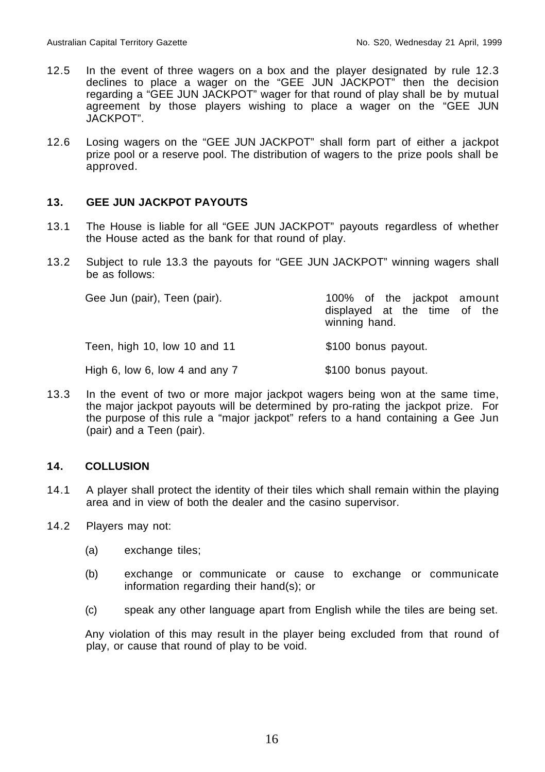- 12.5 In the event of three wagers on a box and the player designated by rule 12.3 declines to place a wager on the "GEE JUN JACKPOT" then the decision regarding a "GEE JUN JACKPOT" wager for that round of play shall be by mutual agreement by those players wishing to place a wager on the "GEE JUN JACKPOT".
- 12.6 Losing wagers on the "GEE JUN JACKPOT" shall form part of either a jackpot prize pool or a reserve pool. The distribution of wagers to the prize pools shall be approved.

# **13. GEE JUN JACKPOT PAYOUTS**

- 13.1 The House is liable for all "GEE JUN JACKPOT" payouts regardless of whether the House acted as the bank for that round of play.
- 13.2 Subject to rule 13.3 the payouts for "GEE JUN JACKPOT" winning wagers shall be as follows:

| Gee Jun (pair), Teen (pair).     | 100% of the jackpot amount<br>displayed at the time of the<br>winning hand. |  |
|----------------------------------|-----------------------------------------------------------------------------|--|
| Teen, high 10, low 10 and 11     | \$100 bonus payout.                                                         |  |
| High 6, low 6, low 4 and any $7$ | \$100 bonus payout.                                                         |  |

13.3 In the event of two or more major jackpot wagers being won at the same time, the major jackpot payouts will be determined by pro-rating the jackpot prize. For the purpose of this rule a "major jackpot" refers to a hand containing a Gee Jun (pair) and a Teen (pair).

#### **14. COLLUSION**

- 14.1 A player shall protect the identity of their tiles which shall remain within the playing area and in view of both the dealer and the casino supervisor.
- 14.2 Players may not:
	- (a) exchange tiles;
	- (b) exchange or communicate or cause to exchange or communicate information regarding their hand(s); or
	- (c) speak any other language apart from English while the tiles are being set.

Any violation of this may result in the player being excluded from that round of play, or cause that round of play to be void.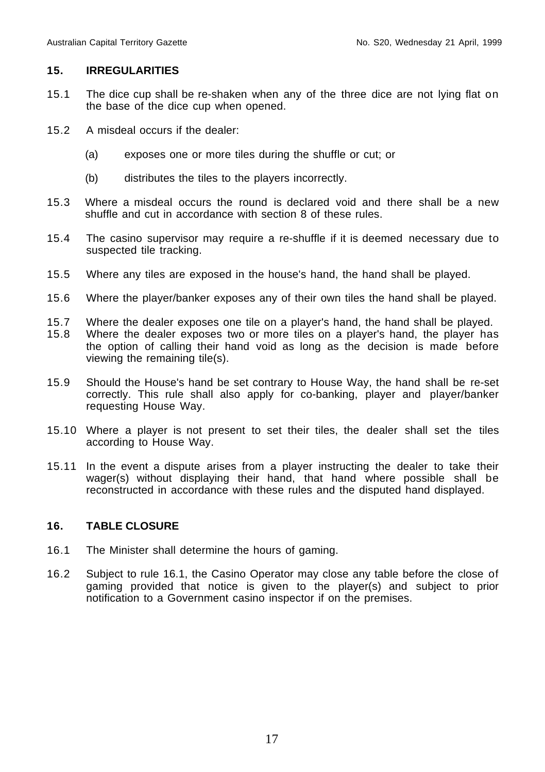#### **15. IRREGULARITIES**

- 15.1 The dice cup shall be re-shaken when any of the three dice are not lying flat on the base of the dice cup when opened.
- 15.2 A misdeal occurs if the dealer:
	- (a) exposes one or more tiles during the shuffle or cut; or
	- (b) distributes the tiles to the players incorrectly.
- 15.3 Where a misdeal occurs the round is declared void and there shall be a new shuffle and cut in accordance with section 8 of these rules.
- 15.4 The casino supervisor may require a re-shuffle if it is deemed necessary due to suspected tile tracking.
- 15.5 Where any tiles are exposed in the house's hand, the hand shall be played.
- 15.6 Where the player/banker exposes any of their own tiles the hand shall be played.
- 15.7 Where the dealer exposes one tile on a player's hand, the hand shall be played.<br>15.8 Where the dealer exposes two or more tiles on a player's hand, the player has
- Where the dealer exposes two or more tiles on a player's hand, the player has the option of calling their hand void as long as the decision is made before viewing the remaining tile(s).
- 15.9 Should the House's hand be set contrary to House Way, the hand shall be re-set correctly. This rule shall also apply for co-banking, player and player/banker requesting House Way.
- 15.10 Where a player is not present to set their tiles, the dealer shall set the tiles according to House Way.
- 15.11 In the event a dispute arises from a player instructing the dealer to take their wager(s) without displaying their hand, that hand where possible shall be reconstructed in accordance with these rules and the disputed hand displayed.

# **16. TABLE CLOSURE**

- 16.1 The Minister shall determine the hours of gaming.
- 16.2 Subject to rule 16.1, the Casino Operator may close any table before the close of gaming provided that notice is given to the player(s) and subject to prior notification to a Government casino inspector if on the premises.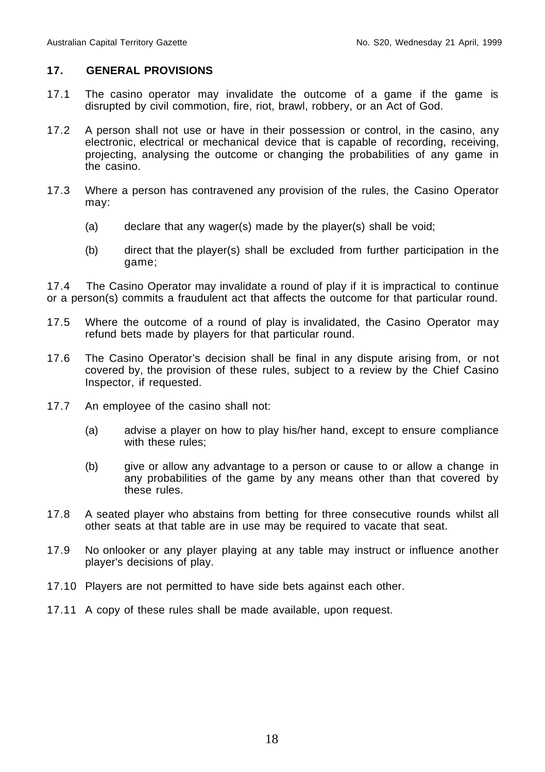#### **17. GENERAL PROVISIONS**

- 17.1 The casino operator may invalidate the outcome of a game if the game is disrupted by civil commotion, fire, riot, brawl, robbery, or an Act of God.
- 17.2 A person shall not use or have in their possession or control, in the casino, any electronic, electrical or mechanical device that is capable of recording, receiving, projecting, analysing the outcome or changing the probabilities of any game in the casino.
- 17.3 Where a person has contravened any provision of the rules, the Casino Operator may:
	- (a) declare that any wager(s) made by the player(s) shall be void;
	- (b) direct that the player(s) shall be excluded from further participation in the game;

17.4 The Casino Operator may invalidate a round of play if it is impractical to continue or a person(s) commits a fraudulent act that affects the outcome for that particular round.

- 17.5 Where the outcome of a round of play is invalidated, the Casino Operator may refund bets made by players for that particular round.
- 17.6 The Casino Operator's decision shall be final in any dispute arising from, or not covered by, the provision of these rules, subject to a review by the Chief Casino Inspector, if requested.
- 17.7 An employee of the casino shall not:
	- (a) advise a player on how to play his/her hand, except to ensure compliance with these rules:
	- (b) give or allow any advantage to a person or cause to or allow a change in any probabilities of the game by any means other than that covered by these rules.
- 17.8 A seated player who abstains from betting for three consecutive rounds whilst all other seats at that table are in use may be required to vacate that seat.
- 17.9 No onlooker or any player playing at any table may instruct or influence another player's decisions of play.
- 17.10 Players are not permitted to have side bets against each other.
- 17.11 A copy of these rules shall be made available, upon request.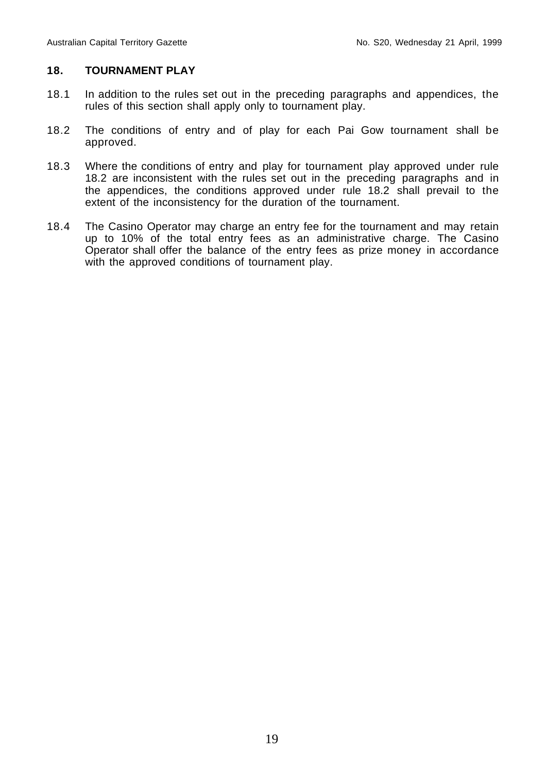### **18. TOURNAMENT PLAY**

- 18.1 In addition to the rules set out in the preceding paragraphs and appendices, the rules of this section shall apply only to tournament play.
- 18.2 The conditions of entry and of play for each Pai Gow tournament shall be approved.
- 18.3 Where the conditions of entry and play for tournament play approved under rule 18.2 are inconsistent with the rules set out in the preceding paragraphs and in the appendices, the conditions approved under rule 18.2 shall prevail to the extent of the inconsistency for the duration of the tournament.
- 18.4 The Casino Operator may charge an entry fee for the tournament and may retain up to 10% of the total entry fees as an administrative charge. The Casino Operator shall offer the balance of the entry fees as prize money in accordance with the approved conditions of tournament play.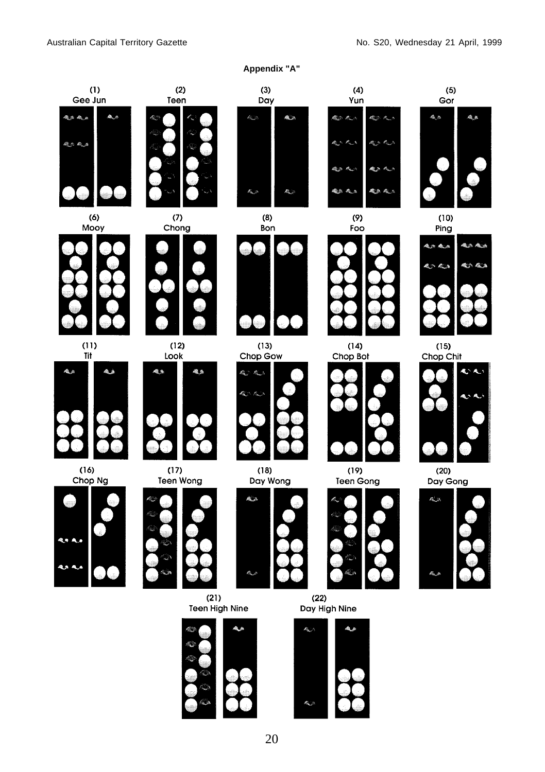

k,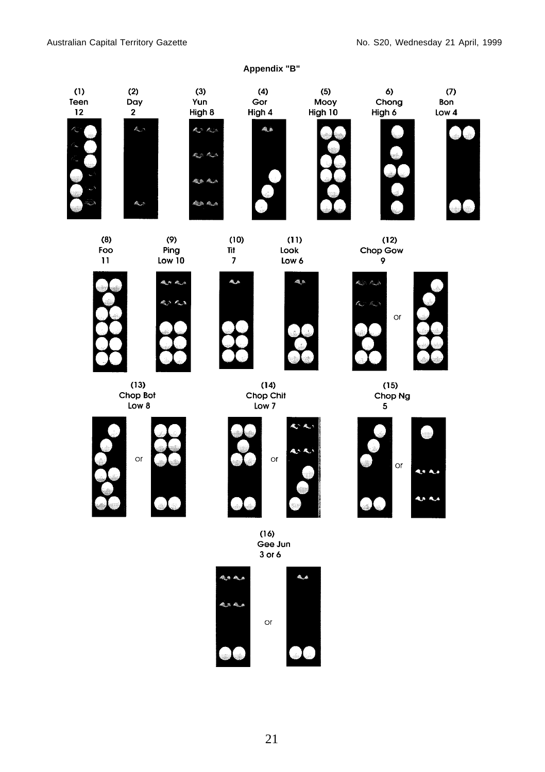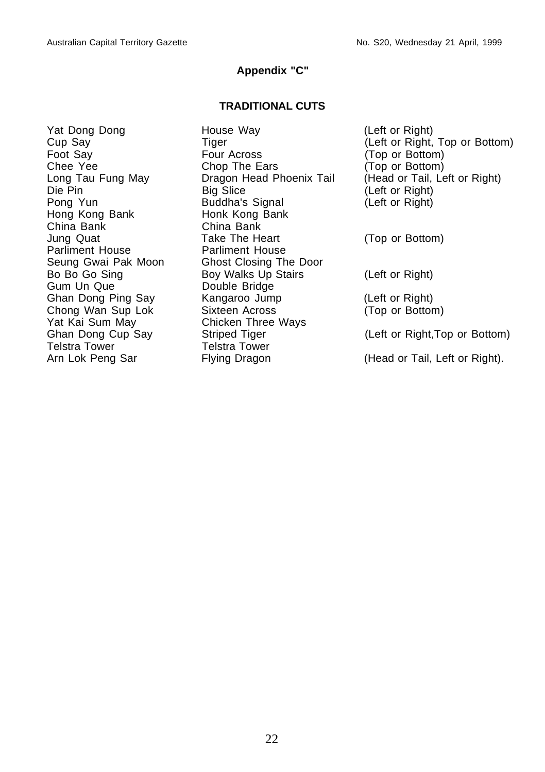#### **Appendix "C"**

#### **TRADITIONAL CUTS**

Hong Kong Bank **Honk Kong Bank**<br>China Bank **China Bank** China Bank Parliment House Parliment House Gum Un Que **Double Bridge** Yat Kai Sum May Chicken Three Ways Telstra Tower Telstra Tower

Yat Dong Dong House Way (Left or Right) Foot Say **Four Across** (Top or Bottom) Chee Yee Chop The Ears (Top or Bottom) Die Pin Big Slice (Left or Right) Pong Yun Buddha's Signal (Left or Right) Jung Quat Take The Heart (Top or Bottom) Seung Gwai Pak Moon Ghost Closing The Door Bo Bo Go Sing Boy Walks Up Stairs (Left or Right) Ghan Dong Ping Say Kangaroo Jump (Left or Right) Chong Wan Sup Lok Sixteen Across (Top or Bottom)

Cup Say Tiger Tiger (Left or Right, Top or Bottom)<br>
Foot Say Top Tour Across (Top or Bottom) Long Tau Fung May **Dragon Head Phoenix Tail** (Head or Tail, Left or Right)

Ghan Dong Cup Say Striped Tiger (Left or Right,Top or Bottom)

Arn Lok Peng Sar Flying Dragon (Head or Tail, Left or Right).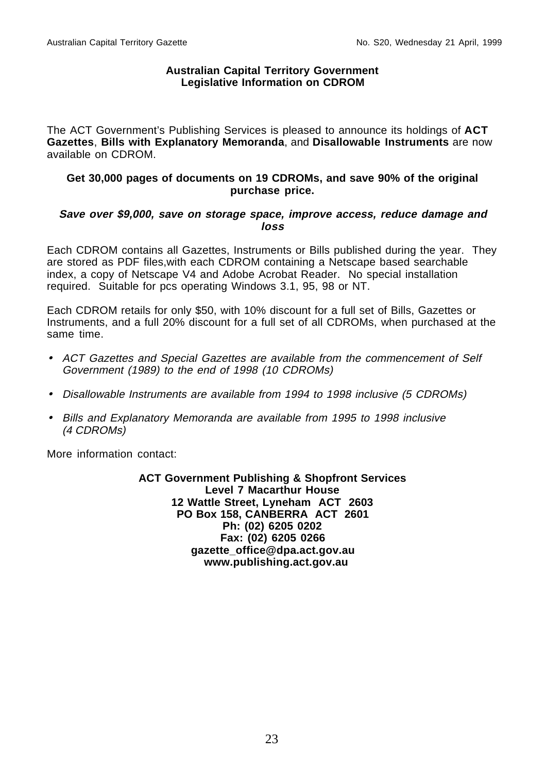#### **Australian Capital Territory Government Legislative Information on CDROM**

The ACT Government's Publishing Services is pleased to announce its holdings of **ACT Gazettes**, **Bills with Explanatory Memoranda**, and **Disallowable Instruments** are now available on CDROM.

#### **Get 30,000 pages of documents on 19 CDROMs, and save 90% of the original purchase price.**

#### **Save over \$9,000, save on storage space, improve access, reduce damage and loss**

Each CDROM contains all Gazettes, Instruments or Bills published during the year. They are stored as PDF files,with each CDROM containing a Netscape based searchable index, a copy of Netscape V4 and Adobe Acrobat Reader. No special installation required. Suitable for pcs operating Windows 3.1, 95, 98 or NT.

Each CDROM retails for only \$50, with 10% discount for a full set of Bills, Gazettes or Instruments, and a full 20% discount for a full set of all CDROMs, when purchased at the same time.

- ACT Gazettes and Special Gazettes are available from the commencement of Self Government (1989) to the end of 1998 (10 CDROMs)
- Disallowable Instruments are available from 1994 to 1998 inclusive (5 CDROMs)
- Bills and Explanatory Memoranda are available from 1995 to 1998 inclusive (4 CDROMs)

More information contact:

**ACT Government Publishing & Shopfront Services Level 7 Macarthur House 12 Wattle Street, Lyneham ACT 2603 PO Box 158, CANBERRA ACT 2601 Ph: (02) 6205 0202 Fax: (02) 6205 0266 gazette\_office@dpa.act.gov.au www.publishing.act.gov.au**